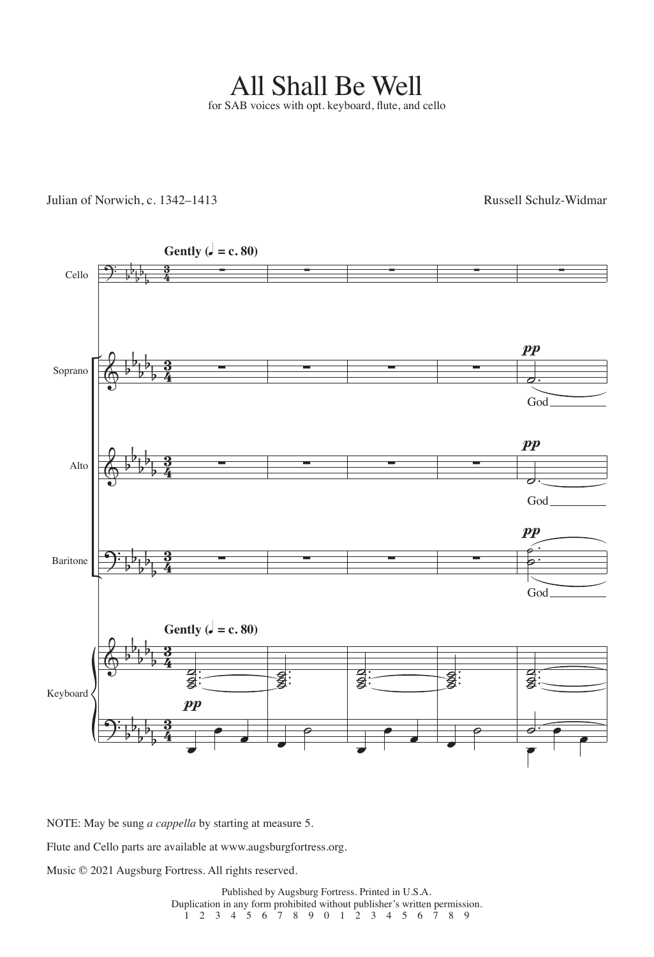All Shall Be Well for SAB voices with opt. keyboard, flute, and cello

Julian of Norwich, c. 1342–1413 Russell Schulz-Widmar



NOTE: May be sung *a cappella* by starting at measure 5.

Flute and Cello parts are available at www.augsburgfortress.org.

Music © 2021 Augsburg Fortress. All rights reserved.

Published by Augsburg Fortress. Printed in U.S.A. Duplication in any form prohibited without publisher's written permission. 1 2 3 4 5 6 7 8 9 0 1 2 3 4 5 6 7 8 9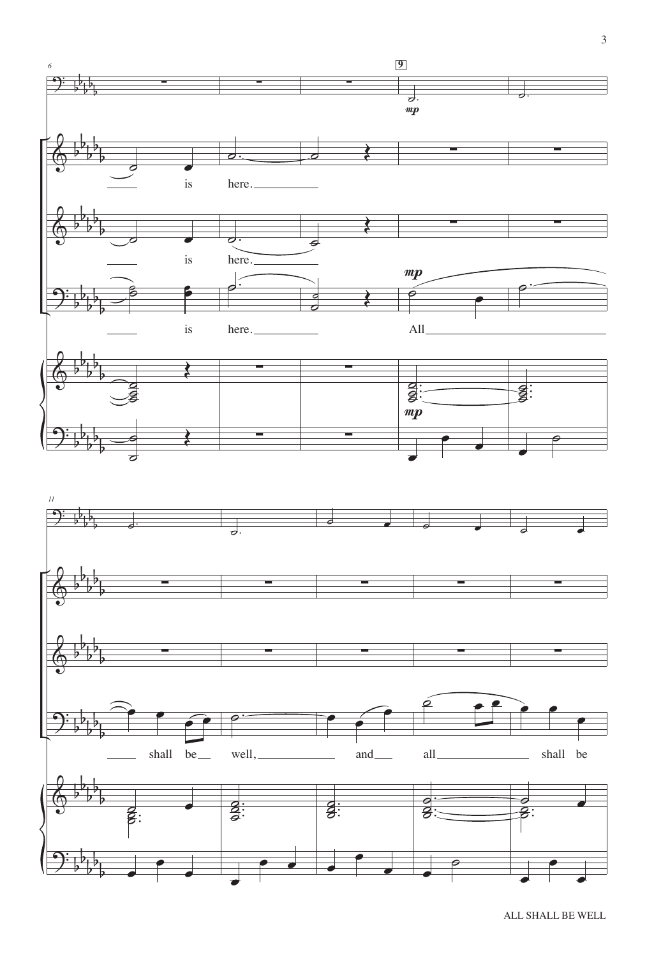

ALL SHALL BE WELL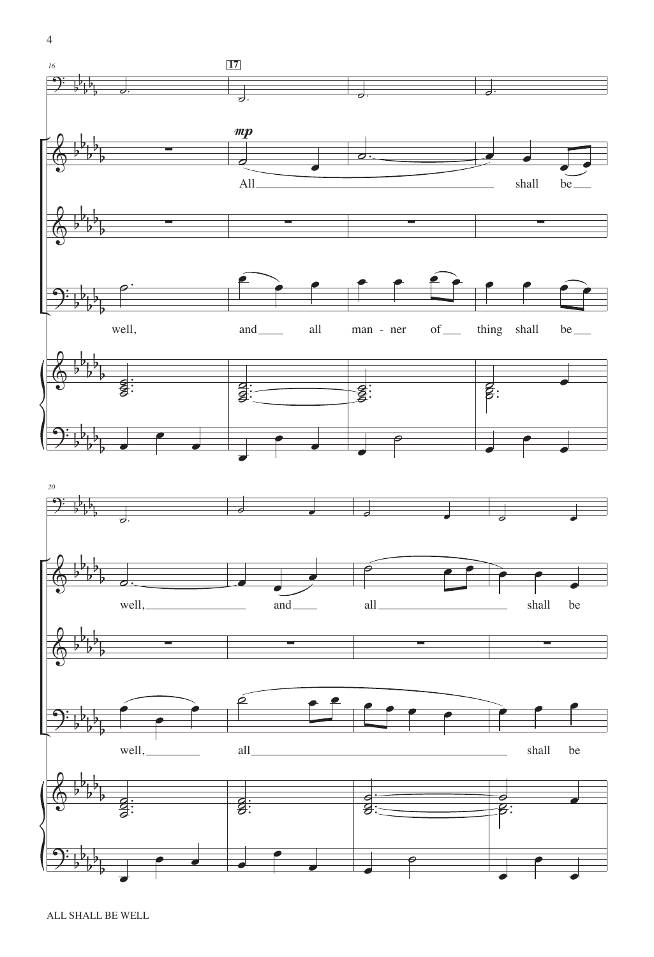

œ

 $\overline{\cdot}$ 

œ

œ

œ

œ

˙

œ

œ

œ

 $\Theta$ 

b b b b b

4